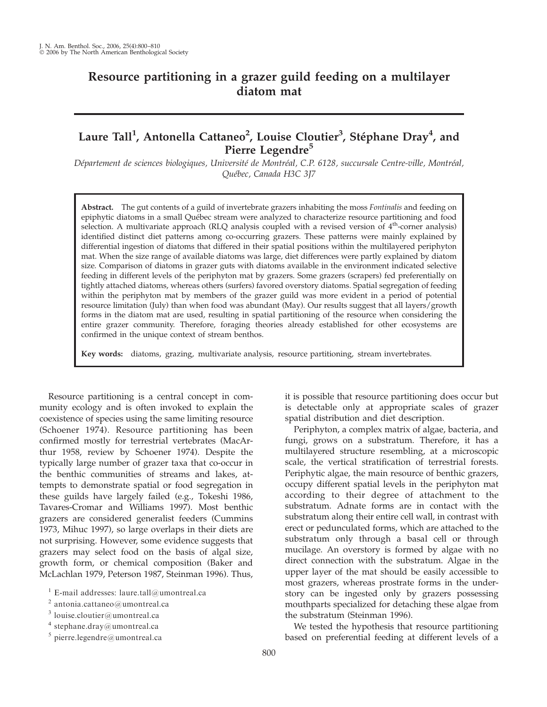# Resource partitioning in a grazer guild feeding on a multilayer diatom mat

# Laure Tall<sup>1</sup>, Antonella Cattaneo<sup>2</sup>, Louise Cloutier<sup>3</sup>, Stéphane Dray<sup>4</sup>, and Pierre Legendre<sup>5</sup>

Département de sciences biologiques, Université de Montréal, C.P. 6128, succursale Centre-ville, Montréal, Ouébec, Canada H3C 3J7

Abstract. The gut contents of a guild of invertebrate grazers inhabiting the moss *Fontinalis* and feeding on epiphytic diatoms in a small Québec stream were analyzed to characterize resource partitioning and food selection. A multivariate approach (RLQ analysis coupled with a revised version of  $4<sup>th</sup>$ -corner analysis) identified distinct diet patterns among co-occurring grazers. These patterns were mainly explained by differential ingestion of diatoms that differed in their spatial positions within the multilayered periphyton mat. When the size range of available diatoms was large, diet differences were partly explained by diatom size. Comparison of diatoms in grazer guts with diatoms available in the environment indicated selective feeding in different levels of the periphyton mat by grazers. Some grazers (scrapers) fed preferentially on tightly attached diatoms, whereas others (surfers) favored overstory diatoms. Spatial segregation of feeding within the periphyton mat by members of the grazer guild was more evident in a period of potential resource limitation (July) than when food was abundant (May). Our results suggest that all layers/growth forms in the diatom mat are used, resulting in spatial partitioning of the resource when considering the entire grazer community. Therefore, foraging theories already established for other ecosystems are confirmed in the unique context of stream benthos.

Key words: diatoms, grazing, multivariate analysis, resource partitioning, stream invertebrates.

Resource partitioning is a central concept in community ecology and is often invoked to explain the coexistence of species using the same limiting resource (Schoener 1974). Resource partitioning has been confirmed mostly for terrestrial vertebrates (MacArthur 1958, review by Schoener 1974). Despite the typically large number of grazer taxa that co-occur in the benthic communities of streams and lakes, attempts to demonstrate spatial or food segregation in these guilds have largely failed (e.g., Tokeshi 1986, Tavares-Cromar and Williams 1997). Most benthic grazers are considered generalist feeders (Cummins 1973, Mihuc 1997), so large overlaps in their diets are not surprising. However, some evidence suggests that grazers may select food on the basis of algal size, growth form, or chemical composition (Baker and McLachlan 1979, Peterson 1987, Steinman 1996). Thus,

it is possible that resource partitioning does occur but is detectable only at appropriate scales of grazer spatial distribution and diet description.

Periphyton, a complex matrix of algae, bacteria, and fungi, grows on a substratum. Therefore, it has a multilayered structure resembling, at a microscopic scale, the vertical stratification of terrestrial forests. Periphytic algae, the main resource of benthic grazers, occupy different spatial levels in the periphyton mat according to their degree of attachment to the substratum. Adnate forms are in contact with the substratum along their entire cell wall, in contrast with erect or pedunculated forms, which are attached to the substratum only through a basal cell or through mucilage. An overstory is formed by algae with no direct connection with the substratum. Algae in the upper layer of the mat should be easily accessible to most grazers, whereas prostrate forms in the understory can be ingested only by grazers possessing mouthparts specialized for detaching these algae from the substratum (Steinman 1996).

We tested the hypothesis that resource partitioning based on preferential feeding at different levels of a

 $1$  E-mail addresses: laure.tall@umontreal.ca

 $2$  antonia.cattaneo@umontreal.ca

 $3$  louise.cloutier@umontreal.ca

 $^4$ stephane.dray@umontreal.ca

 $5$  pierre.legendre@umontreal.ca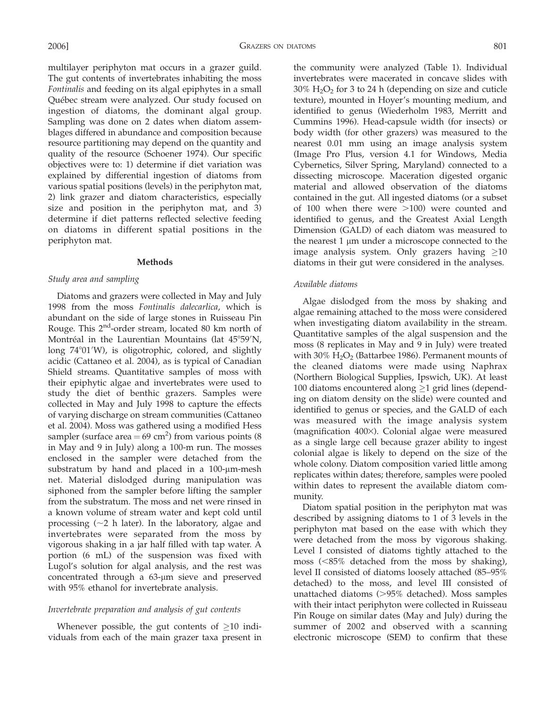multilayer periphyton mat occurs in a grazer guild. The gut contents of invertebrates inhabiting the moss Fontinalis and feeding on its algal epiphytes in a small Québec stream were analyzed. Our study focused on ingestion of diatoms, the dominant algal group. Sampling was done on 2 dates when diatom assemblages differed in abundance and composition because resource partitioning may depend on the quantity and quality of the resource (Schoener 1974). Our specific objectives were to: 1) determine if diet variation was explained by differential ingestion of diatoms from various spatial positions (levels) in the periphyton mat, 2) link grazer and diatom characteristics, especially size and position in the periphyton mat, and 3) determine if diet patterns reflected selective feeding on diatoms in different spatial positions in the periphyton mat.

#### Methods

## Study area and sampling

Diatoms and grazers were collected in May and July 1998 from the moss Fontinalis dalecarlica, which is abundant on the side of large stones in Ruisseau Pin Rouge. This  $2<sup>nd</sup>$ -order stream, located 80 km north of Montréal in the Laurentian Mountains (lat 45°59'N, long 74°01'W), is oligotrophic, colored, and slightly acidic (Cattaneo et al. 2004), as is typical of Canadian Shield streams. Quantitative samples of moss with their epiphytic algae and invertebrates were used to study the diet of benthic grazers. Samples were collected in May and July 1998 to capture the effects of varying discharge on stream communities (Cattaneo et al. 2004). Moss was gathered using a modified Hess sampler (surface area  $= 69 \text{ cm}^2$ ) from various points (8) in May and 9 in July) along a 100-m run. The mosses enclosed in the sampler were detached from the substratum by hand and placed in a  $100$ - $\mu$ m-mesh net. Material dislodged during manipulation was siphoned from the sampler before lifting the sampler from the substratum. The moss and net were rinsed in a known volume of stream water and kept cold until processing  $(\sim 2$  h later). In the laboratory, algae and invertebrates were separated from the moss by vigorous shaking in a jar half filled with tap water. A portion (6 mL) of the suspension was fixed with Lugol's solution for algal analysis, and the rest was concentrated through a 63-um sieve and preserved with 95% ethanol for invertebrate analysis.

### Invertebrate preparation and analysis of gut contents

Whenever possible, the gut contents of  $\geq 10$  individuals from each of the main grazer taxa present in the community were analyzed (Table 1). Individual invertebrates were macerated in concave slides with  $30\%$  H<sub>2</sub>O<sub>2</sub> for 3 to 24 h (depending on size and cuticle texture), mounted in Hoyer's mounting medium, and identified to genus (Wiederholm 1983, Merritt and Cummins 1996). Head-capsule width (for insects) or body width (for other grazers) was measured to the nearest 0.01 mm using an image analysis system (Image Pro Plus, version 4.1 for Windows, Media Cybernetics, Silver Spring, Maryland) connected to a dissecting microscope. Maceration digested organic material and allowed observation of the diatoms contained in the gut. All ingested diatoms (or a subset of 100 when there were  $>100$ ) were counted and identified to genus, and the Greatest Axial Length Dimension (GALD) of each diatom was measured to the nearest  $1 \mu m$  under a microscope connected to the image analysis system. Only grazers having  $\geq 10$ diatoms in their gut were considered in the analyses.

## Available diatoms

Algae dislodged from the moss by shaking and algae remaining attached to the moss were considered when investigating diatom availability in the stream. Quantitative samples of the algal suspension and the moss (8 replicates in May and 9 in July) were treated with 30%  $H_2O_2$  (Battarbee 1986). Permanent mounts of the cleaned diatoms were made using Naphrax (Northern Biological Supplies, Ipswich, UK). At least 100 diatoms encountered along  $\geq$ 1 grid lines (depending on diatom density on the slide) were counted and identified to genus or species, and the GALD of each was measured with the image analysis system (magnification 400×). Colonial algae were measured as a single large cell because grazer ability to ingest colonial algae is likely to depend on the size of the whole colony. Diatom composition varied little among replicates within dates; therefore, samples were pooled within dates to represent the available diatom community.

Diatom spatial position in the periphyton mat was described by assigning diatoms to 1 of 3 levels in the periphyton mat based on the ease with which they were detached from the moss by vigorous shaking. Level I consisted of diatoms tightly attached to the moss  $(<85\%$  detached from the moss by shaking), level II consisted of diatoms loosely attached (85–95% detached) to the moss, and level III consisted of unattached diatoms (>95% detached). Moss samples with their intact periphyton were collected in Ruisseau Pin Rouge on similar dates (May and July) during the summer of 2002 and observed with a scanning electronic microscope (SEM) to confirm that these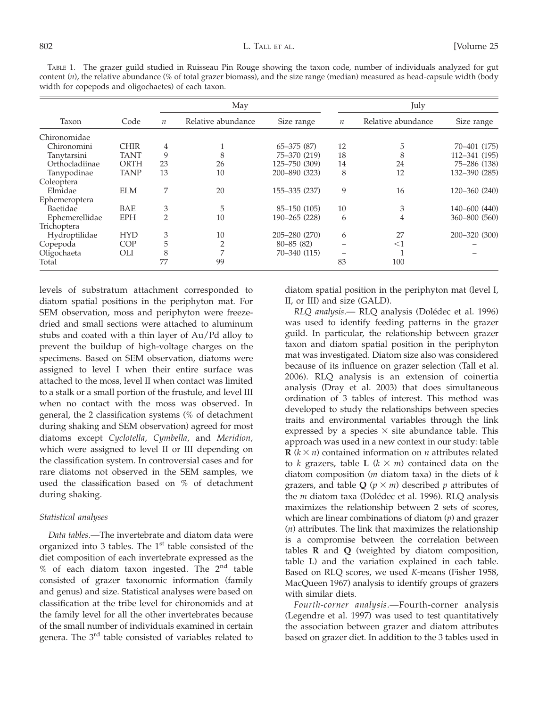TABLE 1. The grazer guild studied in Ruisseau Pin Rouge showing the taxon code, number of individuals analyzed for gut content (n), the relative abundance (% of total grazer biomass), and the size range (median) measured as head-capsule width (body width for copepods and oligochaetes) of each taxon.

|                |             |                  | May                |                 |                  | July               |               |  |
|----------------|-------------|------------------|--------------------|-----------------|------------------|--------------------|---------------|--|
| Taxon          | Code        | $\boldsymbol{n}$ | Relative abundance | Size range      | $\boldsymbol{n}$ | Relative abundance | Size range    |  |
| Chironomidae   |             |                  |                    |                 |                  |                    |               |  |
| Chironomini    | <b>CHIR</b> | 4                |                    | $65 - 375(87)$  | 12               | 5                  | 70-401 (175)  |  |
| Tanytarsini    | <b>TANT</b> | 9                | 8                  | 75-370 (219)    | 18               | 8                  | 112-341 (195) |  |
| Orthocladiinae | <b>ORTH</b> | 23               | 26                 | 125-750 (309)   | 14               | 24                 | 75-286 (138)  |  |
| Tanypodinae    | <b>TANP</b> | 13               | 10                 | 200-890 (323)   | 8                | 12                 | 132-390 (285) |  |
| Coleoptera     |             |                  |                    |                 |                  |                    |               |  |
| Elmidae        | <b>ELM</b>  | 7                | 20                 | 155-335 (237)   | 9                | 16                 | 120-360 (240) |  |
| Ephemeroptera  |             |                  |                    |                 |                  |                    |               |  |
| Baetidae       | BAE         | 3                | 5                  | $85 - 150(105)$ | 10               | 3                  | 140-600 (440) |  |
| Ephemerellidae | <b>EPH</b>  | $\overline{2}$   | 10                 | 190-265 (228)   | 6                | 4                  | 360-800 (560) |  |
| Trichoptera    |             |                  |                    |                 |                  |                    |               |  |
| Hydroptilidae  | <b>HYD</b>  | 3                | 10                 | 205-280 (270)   | 6                | 27                 | 200-320 (300) |  |
| Copepoda       | <b>COP</b>  | 5                | 2                  | $80 - 85(82)$   |                  | $<$ 1              |               |  |
| Oligochaeta    | OLI         | 8                | 7                  | 70-340 (115)    |                  |                    |               |  |
| Total          |             | 77               | 99                 |                 | 83               | 100                |               |  |

levels of substratum attachment corresponded to diatom spatial positions in the periphyton mat. For SEM observation, moss and periphyton were freezedried and small sections were attached to aluminum stubs and coated with a thin layer of Au/Pd alloy to prevent the buildup of high-voltage charges on the specimens. Based on SEM observation, diatoms were assigned to level I when their entire surface was attached to the moss, level II when contact was limited to a stalk or a small portion of the frustule, and level III when no contact with the moss was observed. In general, the 2 classification systems (% of detachment during shaking and SEM observation) agreed for most diatoms except Cyclotella, Cymbella, and Meridion, which were assigned to level II or III depending on the classification system. In controversial cases and for rare diatoms not observed in the SEM samples, we used the classification based on % of detachment during shaking.

# Statistical analyses

Data tables.—The invertebrate and diatom data were organized into 3 tables. The  $1<sup>st</sup>$  table consisted of the diet composition of each invertebrate expressed as the  $%$  of each diatom taxon ingested. The  $2<sup>nd</sup>$  table consisted of grazer taxonomic information (family and genus) and size. Statistical analyses were based on classification at the tribe level for chironomids and at the family level for all the other invertebrates because of the small number of individuals examined in certain genera. The 3rd table consisted of variables related to diatom spatial position in the periphyton mat (level I, II, or III) and size (GALD).

RLQ analysis. RLQ analysis (Dolédec et al. 1996) was used to identify feeding patterns in the grazer guild. In particular, the relationship between grazer taxon and diatom spatial position in the periphyton mat was investigated. Diatom size also was considered because of its influence on grazer selection (Tall et al. 2006). RLQ analysis is an extension of coinertia analysis (Dray et al. 2003) that does simultaneous ordination of 3 tables of interest. This method was developed to study the relationships between species traits and environmental variables through the link expressed by a species  $\times$  site abundance table. This approach was used in a new context in our study: table  $\mathbf{R}$  ( $k \times n$ ) contained information on *n* attributes related to k grazers, table L  $(k \times m)$  contained data on the diatom composition ( $m$  diatom taxa) in the diets of  $k$ grazers, and table Q ( $p \times m$ ) described p attributes of the  $m$  diatom taxa (Dolédec et al. 1996). RLQ analysis maximizes the relationship between 2 sets of scores, which are linear combinations of diatom  $(p)$  and grazer  $(n)$  attributes. The link that maximizes the relationship is a compromise between the correlation between tables R and Q (weighted by diatom composition, table L) and the variation explained in each table. Based on RLQ scores, we used K-means (Fisher 1958, MacQueen 1967) analysis to identify groups of grazers with similar diets.

Fourth-corner analysis.—Fourth-corner analysis (Legendre et al. 1997) was used to test quantitatively the association between grazer and diatom attributes based on grazer diet. In addition to the 3 tables used in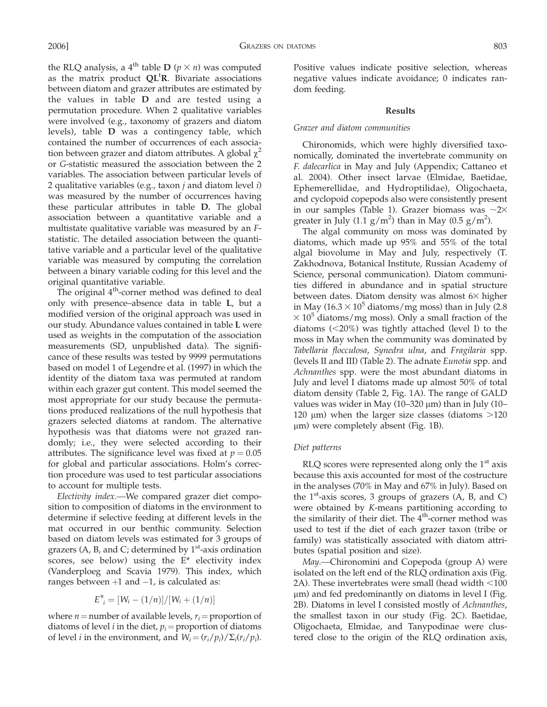the RLQ analysis, a 4<sup>th</sup> table **D** ( $p \times n$ ) was computed as the matrix product  $QL$ <sup>t</sup> $R$ . Bivariate associations between diatom and grazer attributes are estimated by the values in table D and are tested using a permutation procedure. When 2 qualitative variables were involved (e.g., taxonomy of grazers and diatom levels), table D was a contingency table, which contained the number of occurrences of each association between grazer and diatom attributes. A global  $\chi^2$ or G-statistic measured the association between the 2 variables. The association between particular levels of 2 qualitative variables (e.g., taxon  $j$  and diatom level  $i$ ) was measured by the number of occurrences having these particular attributes in table D. The global association between a quantitative variable and a multistate qualitative variable was measured by an Fstatistic. The detailed association between the quantitative variable and a particular level of the qualitative variable was measured by computing the correlation between a binary variable coding for this level and the original quantitative variable.

The original  $4<sup>th</sup>$ -corner method was defined to deal only with presence–absence data in table L, but a modified version of the original approach was used in our study. Abundance values contained in table L were used as weights in the computation of the association measurements (SD, unpublished data). The significance of these results was tested by 9999 permutations based on model 1 of Legendre et al. (1997) in which the identity of the diatom taxa was permuted at random within each grazer gut content. This model seemed the most appropriate for our study because the permutations produced realizations of the null hypothesis that grazers selected diatoms at random. The alternative hypothesis was that diatoms were not grazed randomly; i.e., they were selected according to their attributes. The significance level was fixed at  $p = 0.05$ for global and particular associations. Holm's correction procedure was used to test particular associations to account for multiple tests.

Electivity index.—We compared grazer diet composition to composition of diatoms in the environment to determine if selective feeding at different levels in the mat occurred in our benthic community. Selection based on diatom levels was estimated for 3 groups of grazers  $(A, B, and C; determined by 1<sup>st</sup>-axis ordination$ scores, see below) using the E\* electivity index (Vanderploeg and Scavia 1979). This index, which ranges between  $+1$  and  $-1$ , is calculated as:

$$
E_{i}^{*} = [W_{i} - (1/n)]/[W_{i} + (1/n)]
$$

where  $n =$  number of available levels,  $r_i =$  proportion of diatoms of level *i* in the diet,  $p_i$  = proportion of diatoms of level *i* in the environment, and  $W_i = (r_i/p_i)/\sum_i (r_i/p_i)$ . Positive values indicate positive selection, whereas negative values indicate avoidance; 0 indicates random feeding.

## Results

# Grazer and diatom communities

Chironomids, which were highly diversified taxonomically, dominated the invertebrate community on F. dalecarlica in May and July (Appendix; Cattaneo et al. 2004). Other insect larvae (Elmidae, Baetidae, Ephemerellidae, and Hydroptilidae), Oligochaeta, and cyclopoid copepods also were consistently present in our samples (Table 1). Grazer biomass was  $\sim$ 2 $\times$ greater in July (1.1  $g/m^2$ ) than in May (0.5  $g/m^2$ ).

The algal community on moss was dominated by diatoms, which made up 95% and 55% of the total algal biovolume in May and July, respectively (T. Zakhodnova, Botanical Institute, Russian Academy of Science, personal communication). Diatom communities differed in abundance and in spatial structure between dates. Diatom density was almost  $6\times$  higher in May (16.3  $\times$  10<sup>5</sup> diatoms/mg moss) than in July (2.8  $\times$  10<sup>5</sup> diatoms/mg moss). Only a small fraction of the diatoms  $(<20\%)$  was tightly attached (level I) to the moss in May when the community was dominated by Tabellaria flocculosa, Synedra ulna, and Fragilaria spp. (levels II and III) (Table 2). The adnate Eunotia spp. and Achnanthes spp. were the most abundant diatoms in July and level I diatoms made up almost 50% of total diatom density (Table 2, Fig. 1A). The range of GALD values was wider in May (10-320  $\mu$ m) than in July (10-120  $\mu$ m) when the larger size classes (diatoms  $>120$ µm) were completely absent (Fig. 1B).

### Diet patterns

 $RLQ$  scores were represented along only the  $1<sup>st</sup>$  axis because this axis accounted for most of the costructure in the analyses (70% in May and 67% in July). Based on the  $1<sup>st</sup>$ -axis scores, 3 groups of grazers (A, B, and C) were obtained by K-means partitioning according to the similarity of their diet. The  $4<sup>th</sup>$ -corner method was used to test if the diet of each grazer taxon (tribe or family) was statistically associated with diatom attributes (spatial position and size).

May.—Chironomini and Copepoda (group A) were isolated on the left end of the RLQ ordination axis (Fig. 2A). These invertebrates were small (head width  $<$ 100  $\mu$ m) and fed predominantly on diatoms in level I (Fig. 2B). Diatoms in level I consisted mostly of Achnanthes, the smallest taxon in our study (Fig. 2C). Baetidae, Oligochaeta, Elmidae, and Tanypodinae were clustered close to the origin of the RLQ ordination axis,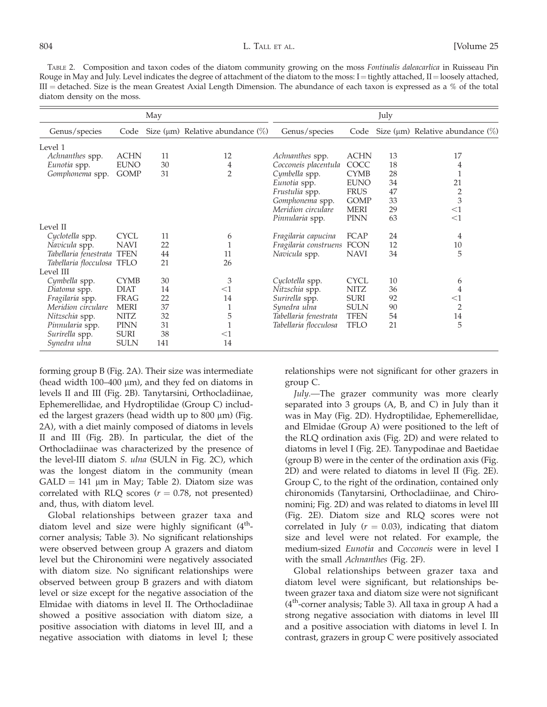TABLE 2. Composition and taxon codes of the diatom community growing on the moss Fontinalis daleacarlica in Ruisseau Pin Rouge in May and July. Level indicates the degree of attachment of the diatom to the moss:  $I =$  tightly attached,  $II =$  loosely attached,  $III =$  detached. Size is the mean Greatest Axial Length Dimension. The abundance of each taxon is expressed as a % of the total diatom density on the moss.

|                            |             | May |                                             |                            |             | July |                                             |
|----------------------------|-------------|-----|---------------------------------------------|----------------------------|-------------|------|---------------------------------------------|
| Genus/species              | Code        |     | Size ( $\mu$ m) Relative abundance ( $\%$ ) | Genus/species              | Code        |      | Size ( $\mu$ m) Relative abundance ( $\%$ ) |
| Level 1                    |             |     |                                             |                            |             |      |                                             |
| Achnanthes spp.            | <b>ACHN</b> | 11  | 12                                          | Achnanthes spp.            | <b>ACHN</b> | 13   | 17                                          |
| Eunotia spp.               | <b>EUNO</b> | 30  | 4                                           | Cocconeis placentula       | COCC        | 18   | 4                                           |
| Gomphonema spp.            | <b>GOMP</b> | 31  | $\overline{2}$                              | Cymbella spp.              | <b>CYMB</b> | 28   | $\mathbf{1}$                                |
|                            |             |     |                                             | Eunotia spp.               | <b>EUNO</b> | 34   | 21                                          |
|                            |             |     |                                             | Frustulia spp.             | <b>FRUS</b> | 47   |                                             |
|                            |             |     |                                             | Gomphonema spp.            | <b>GOMP</b> | 33   | $rac{2}{3}$                                 |
|                            |             |     |                                             | Meridion circulare         | <b>MERI</b> | 29   | $<$ 1                                       |
|                            |             |     |                                             | Pinnularia spp.            | <b>PINN</b> | 63   | $<$ 1                                       |
| Level II                   |             |     |                                             |                            |             |      |                                             |
| Cyclotella spp.            | <b>CYCL</b> | 11  | 6                                           | Fragilaria capucina        | FCAP        | 24   | 4                                           |
| Navicula spp.              | <b>NAVI</b> | 22  | 1                                           | Fragilaria construens FCON |             | 12   | 10                                          |
| Tabellaria fenestrata TFEN |             | 44  | 11                                          | Navicula spp.              | <b>NAVI</b> | 34   | 5                                           |
| Tabellaria flocculosa TFLO |             | 21  | 26                                          |                            |             |      |                                             |
| Level III                  |             |     |                                             |                            |             |      |                                             |
| Cymbella spp.              | <b>CYMB</b> | 30  | 3                                           | Cyclotella spp.            | <b>CYCL</b> | 10   | 6                                           |
| Diatoma spp.               | <b>DIAT</b> | 14  | $<$ 1                                       | Nitzschia spp.             | <b>NITZ</b> | 36   | 4                                           |
| Fragilaria spp.            | <b>FRAG</b> | 22  | 14                                          | Surirella spp.             | <b>SURI</b> | 92   | $<$ 1                                       |
| Meridion circulare         | <b>MERI</b> | 37  | 1                                           | Synedra ulna               | <b>SULN</b> | 90   | $\overline{2}$                              |
| Nitzschia spp.             | <b>NITZ</b> | 32  | 5                                           | Tabellaria fenestrata      | <b>TFEN</b> | 54   | 14                                          |
| Pinnularia spp.            | <b>PINN</b> | 31  |                                             | Tabellaria flocculosa      | <b>TFLO</b> | 21   | 5                                           |
| Surirella spp.             | <b>SURI</b> | 38  | $<$ 1                                       |                            |             |      |                                             |
| Synedra ulna               | <b>SULN</b> | 141 | 14                                          |                            |             |      |                                             |

forming group B (Fig. 2A). Their size was intermediate (head width  $100-400 \mu m$ ), and they fed on diatoms in levels II and III (Fig. 2B). Tanytarsini, Orthocladiinae, Ephemerellidae, and Hydroptilidae (Group C) included the largest grazers (head width up to  $800 \mu m$ ) (Fig. 2A), with a diet mainly composed of diatoms in levels II and III (Fig. 2B). In particular, the diet of the Orthocladiinae was characterized by the presence of the level-III diatom S. ulna (SULN in Fig. 2C), which was the longest diatom in the community (mean  $GALD = 141 \mu m$  in May; Table 2). Diatom size was correlated with RLQ scores ( $r = 0.78$ , not presented) and, thus, with diatom level.

Global relationships between grazer taxa and diatom level and size were highly significant  $(4<sup>th</sup>$ corner analysis; Table 3). No significant relationships were observed between group A grazers and diatom level but the Chironomini were negatively associated with diatom size. No significant relationships were observed between group B grazers and with diatom level or size except for the negative association of the Elmidae with diatoms in level II. The Orthocladiinae showed a positive association with diatom size, a positive association with diatoms in level III, and a negative association with diatoms in level I; these

relationships were not significant for other grazers in group C.

July.—The grazer community was more clearly separated into 3 groups (A, B, and C) in July than it was in May (Fig. 2D). Hydroptilidae, Ephemerellidae, and Elmidae (Group A) were positioned to the left of the RLQ ordination axis (Fig. 2D) and were related to diatoms in level I (Fig. 2E). Tanypodinae and Baetidae (group B) were in the center of the ordination axis (Fig. 2D) and were related to diatoms in level II (Fig. 2E). Group C, to the right of the ordination, contained only chironomids (Tanytarsini, Orthocladiinae, and Chironomini; Fig. 2D) and was related to diatoms in level III (Fig. 2E). Diatom size and RLQ scores were not correlated in July ( $r = 0.03$ ), indicating that diatom size and level were not related. For example, the medium-sized Eunotia and Cocconeis were in level I with the small Achnanthes (Fig. 2F).

Global relationships between grazer taxa and diatom level were significant, but relationships between grazer taxa and diatom size were not significant  $(4<sup>th</sup>$ -corner analysis; Table 3). All taxa in group A had a strong negative association with diatoms in level III and a positive association with diatoms in level I. In contrast, grazers in group C were positively associated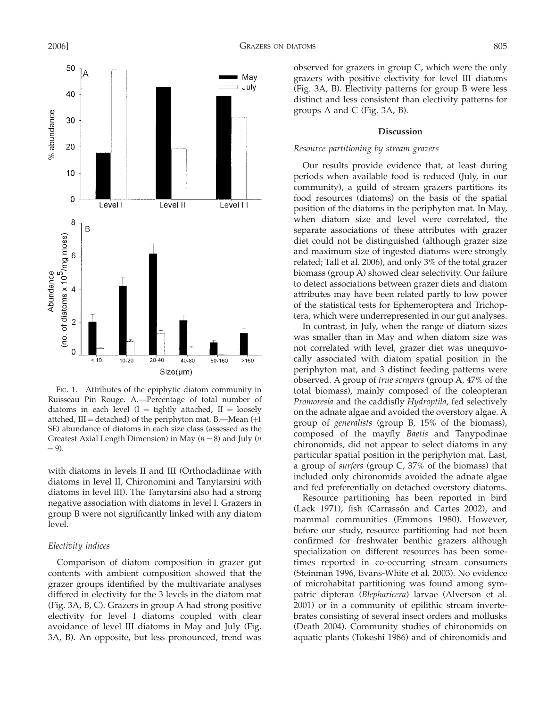

FIG. 1. Attributes of the epiphytic diatom community in Ruisseau Pin Rouge. A.—Percentage of total number of diatoms in each level  $(I = tightharpoonup t$  attached,  $II =$  loosely attched,  $III =$  detached) of the periphyton mat. B.—Mean  $(+1)$ SE) abundance of diatoms in each size class (assessed as the Greatest Axial Length Dimension) in May ( $n = 8$ ) and July (*n*  $= 9$ ).

with diatoms in levels II and III (Orthocladiinae with diatoms in level II, Chironomini and Tanytarsini with diatoms in level III). The Tanytarsini also had a strong negative association with diatoms in level I. Grazers in group B were not significantly linked with any diatom level.

#### Electivity indices

Comparison of diatom composition in grazer gut contents with ambient composition showed that the grazer groups identified by the multivariate analyses differed in electivity for the 3 levels in the diatom mat (Fig. 3A, B, C). Grazers in group A had strong positive electivity for level I diatoms coupled with clear avoidance of level III diatoms in May and July (Fig. 3A, B). An opposite, but less pronounced, trend was observed for grazers in group C, which were the only grazers with positive electivity for level III diatoms (Fig. 3A, B). Electivity patterns for group B were less distinct and less consistent than electivity patterns for groups A and C (Fig. 3A, B).

#### Discussion

## Resource partitioning by stream grazers

Our results provide evidence that, at least during periods when available food is reduced (July, in our community), a guild of stream grazers partitions its food resources (diatoms) on the basis of the spatial position of the diatoms in the periphyton mat. In May, when diatom size and level were correlated, the separate associations of these attributes with grazer diet could not be distinguished (although grazer size and maximum size of ingested diatoms were strongly related; Tall et al. 2006), and only 3% of the total grazer biomass (group A) showed clear selectivity. Our failure to detect associations between grazer diets and diatom attributes may have been related partly to low power of the statistical tests for Ephemeroptera and Trichoptera, which were underrepresented in our gut analyses.

In contrast, in July, when the range of diatom sizes was smaller than in May and when diatom size was not correlated with level, grazer diet was unequivocally associated with diatom spatial position in the periphyton mat, and 3 distinct feeding patterns were observed. A group of true scrapers (group A, 47% of the total biomass), mainly composed of the coleopteran Promoresia and the caddisfly Hydroptila, fed selectively on the adnate algae and avoided the overstory algae. A group of generalists (group B, 15% of the biomass), composed of the mayfly Baetis and Tanypodinae chironomids, did not appear to select diatoms in any particular spatial position in the periphyton mat. Last, a group of surfers (group C, 37% of the biomass) that included only chironomids avoided the adnate algae and fed preferentially on detached overstory diatoms.

Resource partitioning has been reported in bird (Lack 1971), fish (Carrassón and Cartes 2002), and mammal communities (Emmons 1980). However, before our study, resource partitioning had not been confirmed for freshwater benthic grazers although specialization on different resources has been sometimes reported in co-occurring stream consumers (Steinman 1996, Evans-White et al. 2003). No evidence of microhabitat partitioning was found among sympatric dipteran (Blepharicera) larvae (Alverson et al. 2001) or in a community of epilithic stream invertebrates consisting of several insect orders and mollusks (Death 2004). Community studies of chironomids on aquatic plants (Tokeshi 1986) and of chironomids and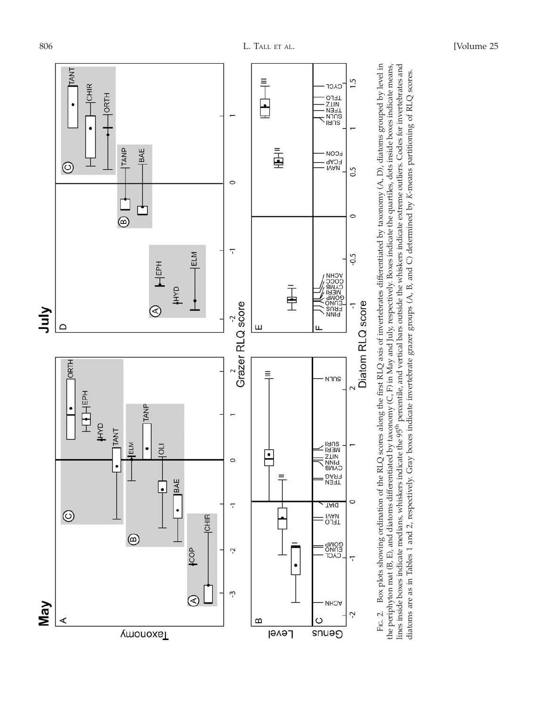

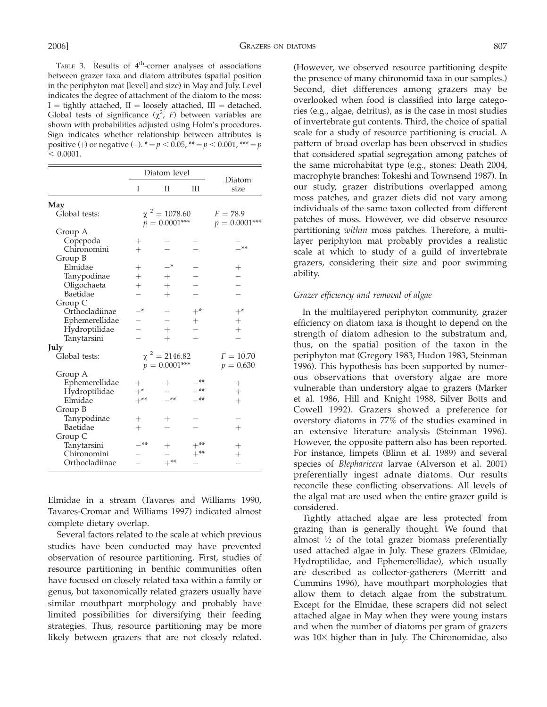TABLE 3. Results of  $4<sup>th</sup>$ -corner analyses of associations between grazer taxa and diatom attributes (spatial position in the periphyton mat [level] and size) in May and July. Level indicates the degree of attachment of the diatom to the moss:  $I =$  tightly attached,  $II =$  loosely attached,  $III =$  detached. Global tests of significance  $(\chi^2, F)$  between variables are shown with probabilities adjusted using Holm's procedures. Sign indicates whether relationship between attributes is positive (+) or negative (-).  $* = p < 0.05$ ,  $** = p < 0.001$ ,  $** = p$  $< 0.0001$ .

|                | Diatom level |                    |             |                    |  |
|----------------|--------------|--------------------|-------------|--------------------|--|
|                | I            | П                  | IΠ          | Diatom<br>size     |  |
| May            |              |                    |             |                    |  |
| Global tests:  |              | $\chi^2 = 1078.60$ | $F = 78.9$  |                    |  |
|                |              | $p = 0.0001***$    |             | $p = 0.0001***$    |  |
| Group A        |              |                    |             |                    |  |
| Copepoda       | $^{+}$       |                    |             |                    |  |
| Chironomini    | $^{+}$       |                    |             | $**$               |  |
| Group B        |              |                    |             |                    |  |
| Elmidae        | $^{+}$       | —*                 |             |                    |  |
| Tanypodinae    | $^{+}$       | $^+$               |             |                    |  |
| Oligochaeta    | $^{+}$       | $^{+}$             |             |                    |  |
| Baetidae       |              | $^{+}$             |             |                    |  |
| Group C        |              |                    |             |                    |  |
| Orthocladiinae | $*$          |                    | $+^*$       | $+^*$              |  |
| Ephemerellidae |              |                    | $^{+}$      |                    |  |
| Hydroptilidae  |              | $^{+}$             |             | $\hspace{0.1mm} +$ |  |
| Tanytarsini    |              | $^{+}$             |             |                    |  |
| July           |              |                    |             |                    |  |
| Global tests:  |              | $\chi^2 = 2146.82$ | $F = 10.70$ |                    |  |
|                |              | $p = 0.0001***$    |             | $p = 0.630$        |  |
| Group A        |              |                    |             |                    |  |
| Ephemerellidae | $^+$         | ┿                  |             | $^+$               |  |
| Hydroptilidae  | $+^*$        |                    | **          | $\overline{+}$     |  |
| Elmidae        | $+***$       | **                 | **          | $^{+}$             |  |
| Group B        |              |                    |             |                    |  |
| Tanypodinae    | $^{+}$       | $^+$               |             |                    |  |
| Baetidae       | $^{+}$       |                    |             | $\hspace{0.1mm} +$ |  |
| Group C        |              |                    |             |                    |  |
| Tanytarsini    | $***$        |                    |             |                    |  |
| Chironomini    |              |                    | $+^{**}$    | $^+$               |  |
| Orthocladiinae |              | $+***$             |             |                    |  |
|                |              |                    |             |                    |  |

Elmidae in a stream (Tavares and Williams 1990, Tavares-Cromar and Williams 1997) indicated almost complete dietary overlap.

Several factors related to the scale at which previous studies have been conducted may have prevented observation of resource partitioning. First, studies of resource partitioning in benthic communities often have focused on closely related taxa within a family or genus, but taxonomically related grazers usually have similar mouthpart morphology and probably have limited possibilities for diversifying their feeding strategies. Thus, resource partitioning may be more likely between grazers that are not closely related. (However, we observed resource partitioning despite the presence of many chironomid taxa in our samples.) Second, diet differences among grazers may be overlooked when food is classified into large categories (e.g., algae, detritus), as is the case in most studies of invertebrate gut contents. Third, the choice of spatial scale for a study of resource partitioning is crucial. A pattern of broad overlap has been observed in studies that considered spatial segregation among patches of the same microhabitat type (e.g., stones: Death 2004, macrophyte branches: Tokeshi and Townsend 1987). In our study, grazer distributions overlapped among moss patches, and grazer diets did not vary among individuals of the same taxon collected from different patches of moss. However, we did observe resource partitioning within moss patches. Therefore, a multilayer periphyton mat probably provides a realistic scale at which to study of a guild of invertebrate grazers, considering their size and poor swimming ability.

# Grazer efficiency and removal of algae

In the multilayered periphyton community, grazer efficiency on diatom taxa is thought to depend on the strength of diatom adhesion to the substratum and, thus, on the spatial position of the taxon in the periphyton mat (Gregory 1983, Hudon 1983, Steinman 1996). This hypothesis has been supported by numerous observations that overstory algae are more vulnerable than understory algae to grazers (Marker et al. 1986, Hill and Knight 1988, Silver Botts and Cowell 1992). Grazers showed a preference for overstory diatoms in 77% of the studies examined in an extensive literature analysis (Steinman 1996). However, the opposite pattern also has been reported. For instance, limpets (Blinn et al. 1989) and several species of Blepharicera larvae (Alverson et al. 2001) preferentially ingest adnate diatoms. Our results reconcile these conflicting observations. All levels of the algal mat are used when the entire grazer guild is considered.

Tightly attached algae are less protected from grazing than is generally thought. We found that almost ½ of the total grazer biomass preferentially used attached algae in July. These grazers (Elmidae, Hydroptilidae, and Ephemerellidae), which usually are described as collector-gatherers (Merritt and Cummins 1996), have mouthpart morphologies that allow them to detach algae from the substratum. Except for the Elmidae, these scrapers did not select attached algae in May when they were young instars and when the number of diatoms per gram of grazers was  $10\times$  higher than in July. The Chironomidae, also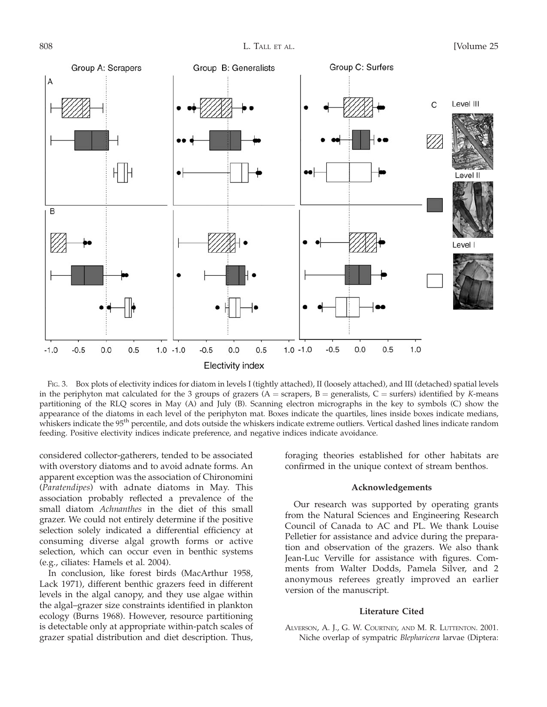

FIG. 3. Box plots of electivity indices for diatom in levels I (tightly attached), II (loosely attached), and III (detached) spatial levels in the periphyton mat calculated for the 3 groups of grazers ( $A =$  scrapers,  $B =$  generalists,  $C =$  surfers) identified by K-means partitioning of the RLQ scores in May (A) and July (B). Scanning electron micrographs in the key to symbols (C) show the appearance of the diatoms in each level of the periphyton mat. Boxes indicate the quartiles, lines inside boxes indicate medians, whiskers indicate the 95<sup>th</sup> percentile, and dots outside the whiskers indicate extreme outliers. Vertical dashed lines indicate random feeding. Positive electivity indices indicate preference, and negative indices indicate avoidance.

considered collector-gatherers, tended to be associated with overstory diatoms and to avoid adnate forms. An apparent exception was the association of Chironomini (Paratendipes) with adnate diatoms in May. This association probably reflected a prevalence of the small diatom Achnanthes in the diet of this small grazer. We could not entirely determine if the positive selection solely indicated a differential efficiency at consuming diverse algal growth forms or active selection, which can occur even in benthic systems (e.g., ciliates: Hamels et al. 2004).

In conclusion, like forest birds (MacArthur 1958, Lack 1971), different benthic grazers feed in different levels in the algal canopy, and they use algae within the algal–grazer size constraints identified in plankton ecology (Burns 1968). However, resource partitioning is detectable only at appropriate within-patch scales of grazer spatial distribution and diet description. Thus,

foraging theories established for other habitats are confirmed in the unique context of stream benthos.

#### Acknowledgements

Our research was supported by operating grants from the Natural Sciences and Engineering Research Council of Canada to AC and PL. We thank Louise Pelletier for assistance and advice during the preparation and observation of the grazers. We also thank Jean-Luc Verville for assistance with figures. Comments from Walter Dodds, Pamela Silver, and 2 anonymous referees greatly improved an earlier version of the manuscript.

# Literature Cited

ALVERSON, A. J., G. W. COURTNEY, AND M. R. LUTTENTON. 2001. Niche overlap of sympatric Blepharicera larvae (Diptera: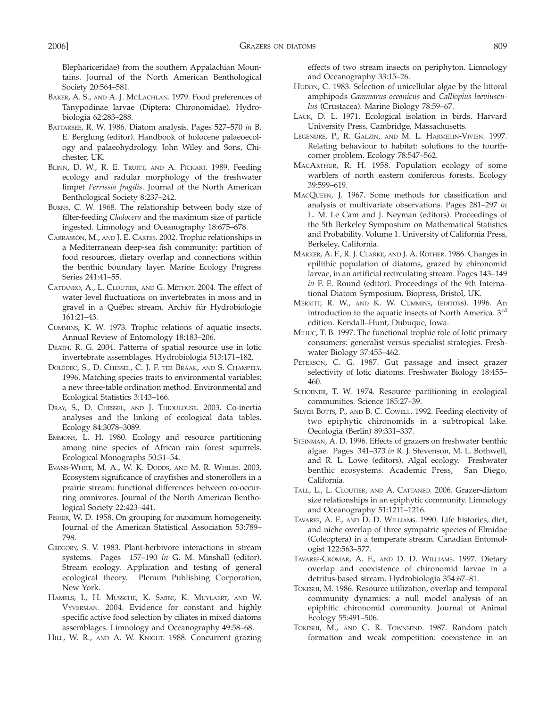Blephariceridae) from the southern Appalachian Mountains. Journal of the North American Benthological Society 20:564–581.

- BAKER, A. S., AND A. J. MCLACHLAN. 1979. Food preferences of Tanypodinae larvae (Diptera: Chironomidae). Hydrobiologia 62:283–288.
- BATTARBEE, R. W. 1986. Diatom analysis. Pages 527–570 in B. E. Berglung (editor). Handbook of holocene palaeoecology and palaeohydrology. John Wiley and Sons, Chichester, UK.
- BLINN, D. W., R. E. TRUITT, AND A. PICKART. 1989. Feeding ecology and radular morphology of the freshwater limpet Ferrissia fragilis. Journal of the North American Benthological Society 8:237–242.
- BURNS, C. W. 1968. The relationship between body size of filter-feeding Cladocera and the maximum size of particle ingested. Limnology and Oceanography 18:675–678.
- CARRASSÓN, M., AND J. E. CARTES. 2002. Trophic relationships in a Mediterranean deep-sea fish community: partition of food resources, dietary overlap and connections within the benthic boundary layer. Marine Ecology Progress Series 241:41–55.
- CATTANEO, A., L. CLOUTIER, AND G. MÉTHOT. 2004. The effect of water level fluctuations on invertebrates in moss and in gravel in a Québec stream. Archiv für Hydrobiologie 161:21–43.
- CUMMINS, K. W. 1973. Trophic relations of aquatic insects. Annual Review of Entomology 18:183–206.
- DEATH, R. G. 2004. Patterns of spatial resource use in lotic invertebrate assemblages. Hydrobiologia 513:171–182.
- DOLÉDEC, S., D. CHESSEL, C. J. F. TER BRAAK, AND S. CHAMPELY. 1996. Matching species traits to environmental variables: a new three-table ordination method. Environmental and Ecological Statistics 3:143–166.
- DRAY, S., D. CHESSEL, AND J. THIOULOUSE. 2003. Co-inertia analyses and the linking of ecological data tables. Ecology 84:3078–3089.
- EMMONS, L. H. 1980. Ecology and resource partitioning among nine species of African rain forest squirrels. Ecological Monographs 50:31–54.
- EVANS-WHITE, M. A., W. K. DODDS, AND M. R. WHILES. 2003. Ecosystem significance of crayfishes and stonerollers in a prairie stream: functional differences between co-occurring omnivores. Journal of the North American Benthological Society 22:423–441.
- FISHER, W. D. 1958. On grouping for maximum homogeneity. Journal of the American Statistical Association 53:789– 798.
- GREGORY, S. V. 1983. Plant-herbivore interactions in stream systems. Pages 157–190 in G. M. Minshall (editor). Stream ecology. Application and testing of general ecological theory. Plenum Publishing Corporation, New York.
- HAMELS, I., H. MUSSCHE, K. SABBE, K. MUYLAERT, AND W. VYVERMAN. 2004. Evidence for constant and highly specific active food selection by ciliates in mixed diatoms assemblages. Limnology and Oceanography 49:58–68.
- HILL, W. R., AND A. W. KNIGHT. 1988. Concurrent grazing

effects of two stream insects on periphyton. Limnology and Oceanography 33:15–26.

- HUDON, C. 1983. Selection of unicellular algae by the littoral amphipods Gammarus oceanicus and Calliopius laeviusculus (Crustacea). Marine Biology 78:59–67.
- LACK, D. L. 1971. Ecological isolation in birds. Harvard University Press, Cambridge, Massachusetts.
- LEGENDRE, P., R. GALZIN, AND M. L. HARMELIN-VIVIEN. 1997. Relating behaviour to habitat: solutions to the fourthcorner problem. Ecology 78:547–562.
- MACARTHUR, R. H. 1958. Population ecology of some warblers of north eastern coniferous forests. Ecology 39:599–619.
- MACQUEEN, J. 1967. Some methods for classification and analysis of multivariate observations. Pages 281–297 in L. M. Le Cam and J. Neyman (editors). Proceedings of the 5th Berkeley Symposium on Mathematical Statistics and Probability. Volume 1. University of California Press, Berkeley, California.
- MARKER, A. F., R. J. CLARKE, AND J. A. ROTHER. 1986. Changes in epilithic population of diatoms, grazed by chironomid larvae, in an artificial recirculating stream. Pages 143–149 in F. E. Round (editor). Proceedings of the 9th International Diatom Symposium. Biopress, Bristol, UK.
- MERRITT, R. W., AND K. W. CUMMINS, (EDITORS). 1996. An introduction to the aquatic insects of North America. 3<sup>rd</sup> edition. Kendall–Hunt, Dubuque, Iowa.
- MIHUC, T. B. 1997. The functional trophic role of lotic primary consumers: generalist versus specialist strategies. Freshwater Biology 37:455–462.
- PETERSON, C. G. 1987. Gut passage and insect grazer selectivity of lotic diatoms. Freshwater Biology 18:455– 460.
- SCHOENER, T. W. 1974. Resource partitioning in ecological communities. Science 185:27–39.
- SILVER BOTTS, P., AND B. C. COWELL. 1992. Feeding electivity of two epiphytic chironomids in a subtropical lake. Oecologia (Berlin) 89:331–337.
- STEINMAN, A. D. 1996. Effects of grazers on freshwater benthic algae. Pages 341–373 in R. J. Stevenson, M. L. Bothwell, and R. L. Lowe (editors). Algal ecology. Freshwater benthic ecosystems. Academic Press, San Diego, California.
- TALL, L., L. CLOUTIER, AND A. CATTANEO. 2006. Grazer-diatom size relationships in an epiphytic community. Limnology and Oceanography 51:1211–1216.
- TAVARES, A. F., AND D. D. WILLIAMS. 1990. Life histories, diet, and niche overlap of three sympatric species of Elmidae (Coleoptera) in a temperate stream. Canadian Entomologist 122:563–577.
- TAVARES-CROMAR, A. F., AND D. D. WILLIAMS. 1997. Dietary overlap and coexistence of chironomid larvae in a detritus-based stream. Hydrobiologia 354:67–81.
- TOKESHI, M. 1986. Resource utilization, overlap and temporal community dynamics: a null model analysis of an epiphitic chironomid community. Journal of Animal Ecology 55:491–506.
- TOKESHI, M., AND C. R. TOWNSEND. 1987. Random patch formation and weak competition: coexistence in an